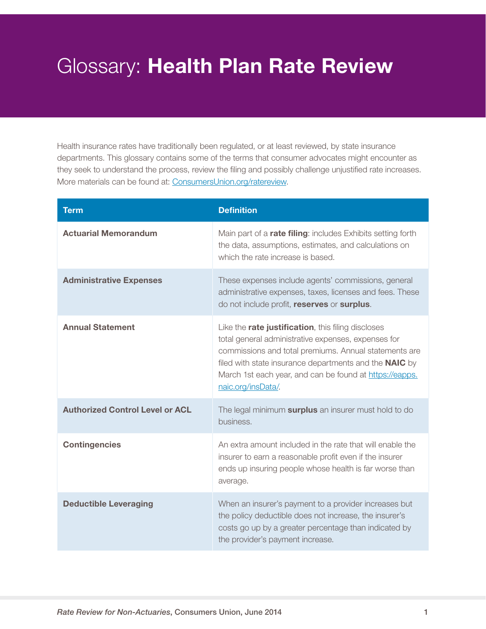## Glossary: Health Plan Rate Review

Health insurance rates have traditionally been regulated, or at least reviewed, by state insurance departments. This glossary contains some of the terms that consumer advocates might encounter as they seek to understand the process, review the filing and possibly challenge unjustified rate increases. More materials can be found at: [ConsumersUnion.org/ratereview.](http://consumersunion.org/topic/rate-review/)

| <b>Term</b>                            | <b>Definition</b>                                                                                                                                                                                                                                                                                                            |
|----------------------------------------|------------------------------------------------------------------------------------------------------------------------------------------------------------------------------------------------------------------------------------------------------------------------------------------------------------------------------|
| <b>Actuarial Memorandum</b>            | Main part of a <b>rate filing</b> : includes Exhibits setting forth<br>the data, assumptions, estimates, and calculations on<br>which the rate increase is based.                                                                                                                                                            |
| <b>Administrative Expenses</b>         | These expenses include agents' commissions, general<br>administrative expenses, taxes, licenses and fees. These<br>do not include profit, reserves or surplus.                                                                                                                                                               |
| <b>Annual Statement</b>                | Like the <b>rate justification</b> , this filing discloses<br>total general administrative expenses, expenses for<br>commissions and total premiums. Annual statements are<br>filed with state insurance departments and the <b>NAIC</b> by<br>March 1st each year, and can be found at https://eapps.<br>naic.org/insData/. |
| <b>Authorized Control Level or ACL</b> | The legal minimum surplus an insurer must hold to do<br>business.                                                                                                                                                                                                                                                            |
| <b>Contingencies</b>                   | An extra amount included in the rate that will enable the<br>insurer to earn a reasonable profit even if the insurer<br>ends up insuring people whose health is far worse than<br>average.                                                                                                                                   |
| <b>Deductible Leveraging</b>           | When an insurer's payment to a provider increases but<br>the policy deductible does not increase, the insurer's<br>costs go up by a greater percentage than indicated by<br>the provider's payment increase.                                                                                                                 |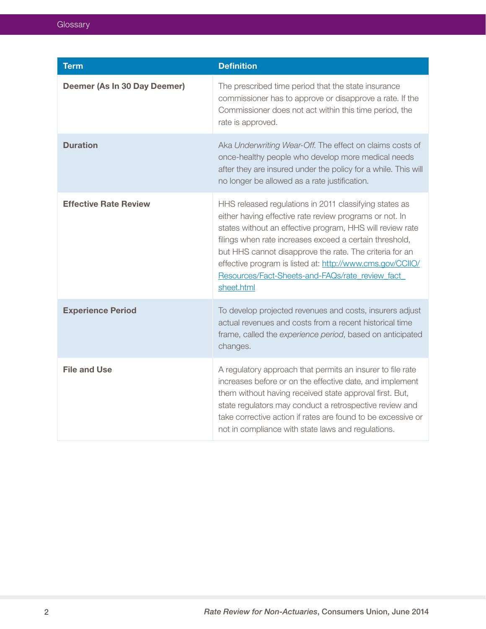| <b>Term</b>                  | <b>Definition</b>                                                                                                                                                                                                                                                                                                                                                                                                                  |
|------------------------------|------------------------------------------------------------------------------------------------------------------------------------------------------------------------------------------------------------------------------------------------------------------------------------------------------------------------------------------------------------------------------------------------------------------------------------|
| Deemer (As In 30 Day Deemer) | The prescribed time period that the state insurance<br>commissioner has to approve or disapprove a rate. If the<br>Commissioner does not act within this time period, the<br>rate is approved.                                                                                                                                                                                                                                     |
| <b>Duration</b>              | Aka Underwriting Wear-Off. The effect on claims costs of<br>once-healthy people who develop more medical needs<br>after they are insured under the policy for a while. This will<br>no longer be allowed as a rate justification.                                                                                                                                                                                                  |
| <b>Effective Rate Review</b> | HHS released regulations in 2011 classifying states as<br>either having effective rate review programs or not. In<br>states without an effective program, HHS will review rate<br>filings when rate increases exceed a certain threshold,<br>but HHS cannot disapprove the rate. The criteria for an<br>effective program is listed at: http://www.cms.gov/CCIIO/<br>Resources/Fact-Sheets-and-FAQs/rate_review_fact<br>sheet.html |
| <b>Experience Period</b>     | To develop projected revenues and costs, insurers adjust<br>actual revenues and costs from a recent historical time<br>frame, called the experience period, based on anticipated<br>changes.                                                                                                                                                                                                                                       |
| <b>File and Use</b>          | A regulatory approach that permits an insurer to file rate<br>increases before or on the effective date, and implement<br>them without having received state approval first. But,<br>state regulators may conduct a retrospective review and<br>take corrective action if rates are found to be excessive or<br>not in compliance with state laws and regulations.                                                                 |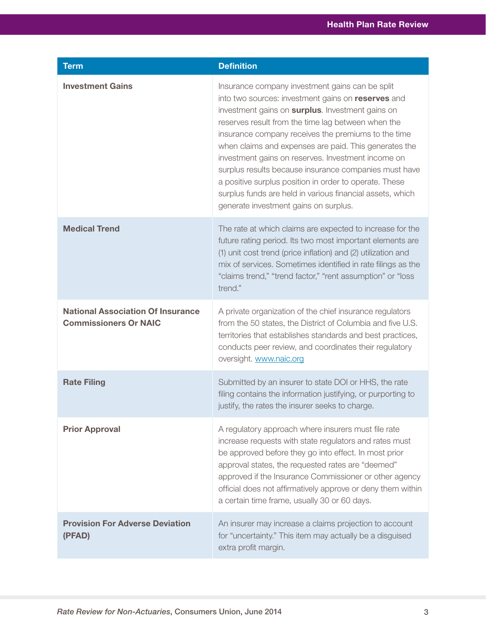| <b>Term</b>                                                              | <b>Definition</b>                                                                                                                                                                                                                                                                                                                                                                                                                                                                                                                                                                                              |
|--------------------------------------------------------------------------|----------------------------------------------------------------------------------------------------------------------------------------------------------------------------------------------------------------------------------------------------------------------------------------------------------------------------------------------------------------------------------------------------------------------------------------------------------------------------------------------------------------------------------------------------------------------------------------------------------------|
| <b>Investment Gains</b>                                                  | Insurance company investment gains can be split<br>into two sources: investment gains on reserves and<br>investment gains on surplus. Investment gains on<br>reserves result from the time lag between when the<br>insurance company receives the premiums to the time<br>when claims and expenses are paid. This generates the<br>investment gains on reserves. Investment income on<br>surplus results because insurance companies must have<br>a positive surplus position in order to operate. These<br>surplus funds are held in various financial assets, which<br>generate investment gains on surplus. |
| <b>Medical Trend</b>                                                     | The rate at which claims are expected to increase for the<br>future rating period. Its two most important elements are<br>(1) unit cost trend (price inflation) and (2) utilization and<br>mix of services. Sometimes identified in rate filings as the<br>"claims trend," "trend factor," "rent assumption" or "loss<br>trend."                                                                                                                                                                                                                                                                               |
| <b>National Association Of Insurance</b><br><b>Commissioners Or NAIC</b> | A private organization of the chief insurance regulators<br>from the 50 states, the District of Columbia and five U.S.<br>territories that establishes standards and best practices,<br>conducts peer review, and coordinates their regulatory<br>oversight. www.naic.org                                                                                                                                                                                                                                                                                                                                      |
| <b>Rate Filing</b>                                                       | Submitted by an insurer to state DOI or HHS, the rate<br>filing contains the information justifying, or purporting to<br>justify, the rates the insurer seeks to charge.                                                                                                                                                                                                                                                                                                                                                                                                                                       |
| <b>Prior Approval</b>                                                    | A regulatory approach where insurers must file rate<br>increase requests with state regulators and rates must<br>be approved before they go into effect. In most prior<br>approval states, the requested rates are "deemed"<br>approved if the Insurance Commissioner or other agency<br>official does not affirmatively approve or deny them within<br>a certain time frame, usually 30 or 60 days.                                                                                                                                                                                                           |
| <b>Provision For Adverse Deviation</b><br>(PFAD)                         | An insurer may increase a claims projection to account<br>for "uncertainty." This item may actually be a disguised<br>extra profit margin.                                                                                                                                                                                                                                                                                                                                                                                                                                                                     |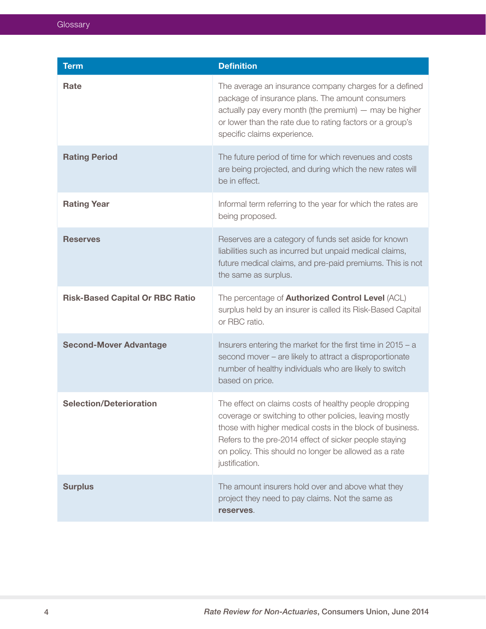| <b>Term</b>                            | <b>Definition</b>                                                                                                                                                                                                                                                                                                  |
|----------------------------------------|--------------------------------------------------------------------------------------------------------------------------------------------------------------------------------------------------------------------------------------------------------------------------------------------------------------------|
| Rate                                   | The average an insurance company charges for a defined<br>package of insurance plans. The amount consumers<br>actually pay every month (the premium) - may be higher<br>or lower than the rate due to rating factors or a group's<br>specific claims experience.                                                   |
| <b>Rating Period</b>                   | The future period of time for which revenues and costs<br>are being projected, and during which the new rates will<br>be in effect.                                                                                                                                                                                |
| <b>Rating Year</b>                     | Informal term referring to the year for which the rates are<br>being proposed.                                                                                                                                                                                                                                     |
| <b>Reserves</b>                        | Reserves are a category of funds set aside for known<br>liabilities such as incurred but unpaid medical claims,<br>future medical claims, and pre-paid premiums. This is not<br>the same as surplus.                                                                                                               |
| <b>Risk-Based Capital Or RBC Ratio</b> | The percentage of <b>Authorized Control Level</b> (ACL)<br>surplus held by an insurer is called its Risk-Based Capital<br>or RBC ratio.                                                                                                                                                                            |
| <b>Second-Mover Advantage</b>          | Insurers entering the market for the first time in $2015 - a$<br>second mover - are likely to attract a disproportionate<br>number of healthy individuals who are likely to switch<br>based on price.                                                                                                              |
| <b>Selection/Deterioration</b>         | The effect on claims costs of healthy people dropping<br>coverage or switching to other policies, leaving mostly<br>those with higher medical costs in the block of business.<br>Refers to the pre-2014 effect of sicker people staying<br>on policy. This should no longer be allowed as a rate<br>justification. |
| <b>Surplus</b>                         | The amount insurers hold over and above what they<br>project they need to pay claims. Not the same as<br>reserves.                                                                                                                                                                                                 |